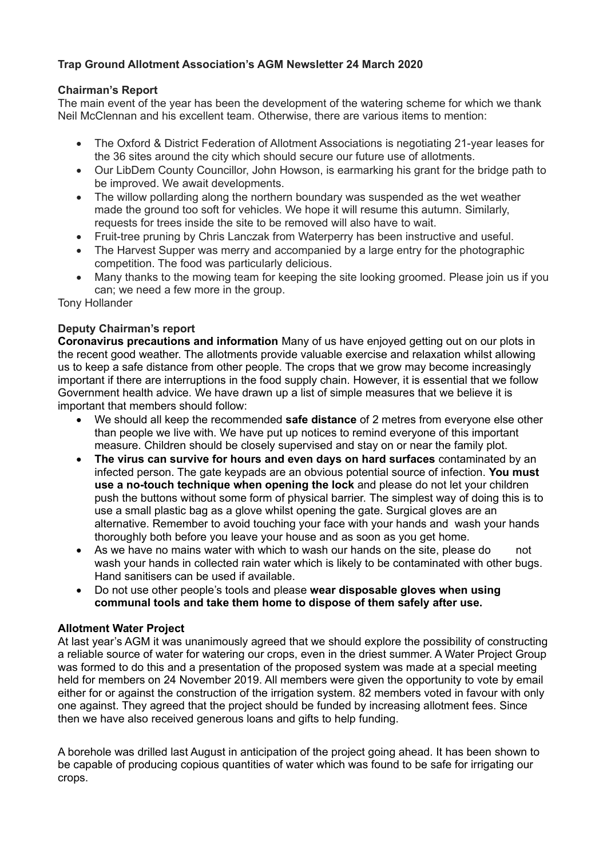# **Trap Ground Allotment Association's AGM Newsletter 24 March 2020**

### **Chairman's Report**

The main event of the year has been the development of the watering scheme for which we thank Neil McClennan and his excellent team. Otherwise, there are various items to mention:

- The Oxford & District Federation of Allotment Associations is negotiating 21-year leases for the 36 sites around the city which should secure our future use of allotments.
- Our LibDem County Councillor, John Howson, is earmarking his grant for the bridge path to be improved. We await developments.
- The willow pollarding along the northern boundary was suspended as the wet weather made the ground too soft for vehicles. We hope it will resume this autumn. Similarly, requests for trees inside the site to be removed will also have to wait.
- Fruit-tree pruning by Chris Lanczak from Waterperry has been instructive and useful.
- The Harvest Supper was merry and accompanied by a large entry for the photographic competition. The food was particularly delicious.
- Many thanks to the mowing team for keeping the site looking groomed. Please join us if you can; we need a few more in the group.

Tony Hollander

### **Deputy Chairman's report**

**Coronavirus precautions and information** Many of us have enjoyed getting out on our plots in the recent good weather. The allotments provide valuable exercise and relaxation whilst allowing us to keep a safe distance from other people. The crops that we grow may become increasingly important if there are interruptions in the food supply chain. However, it is essential that we follow Government health advice. We have drawn up a list of simple measures that we believe it is important that members should follow:

- We should all keep the recommended **safe distance** of 2 metres from everyone else other than people we live with. We have put up notices to remind everyone of this important measure. Children should be closely supervised and stay on or near the family plot.
- **The virus can survive for hours and even days on hard surfaces** contaminated by an infected person. The gate keypads are an obvious potential source of infection. **You must use a no-touch technique when opening the lock** and please do not let your children push the buttons without some form of physical barrier. The simplest way of doing this is to use a small plastic bag as a glove whilst opening the gate. Surgical gloves are an alternative. Remember to avoid touching your face with your hands and wash your hands thoroughly both before you leave your house and as soon as you get home.
- As we have no mains water with which to wash our hands on the site, please do not wash your hands in collected rain water which is likely to be contaminated with other bugs. Hand sanitisers can be used if available.
- Do not use other people's tools and please **wear disposable gloves when using communal tools and take them home to dispose of them safely after use.**

### **Allotment Water Project**

At last year's AGM it was unanimously agreed that we should explore the possibility of constructing a reliable source of water for watering our crops, even in the driest summer. A Water Project Group was formed to do this and a presentation of the proposed system was made at a special meeting held for members on 24 November 2019. All members were given the opportunity to vote by email either for or against the construction of the irrigation system. 82 members voted in favour with only one against. They agreed that the project should be funded by increasing allotment fees. Since then we have also received generous loans and gifts to help funding.

A borehole was drilled last August in anticipation of the project going ahead. It has been shown to be capable of producing copious quantities of water which was found to be safe for irrigating our crops.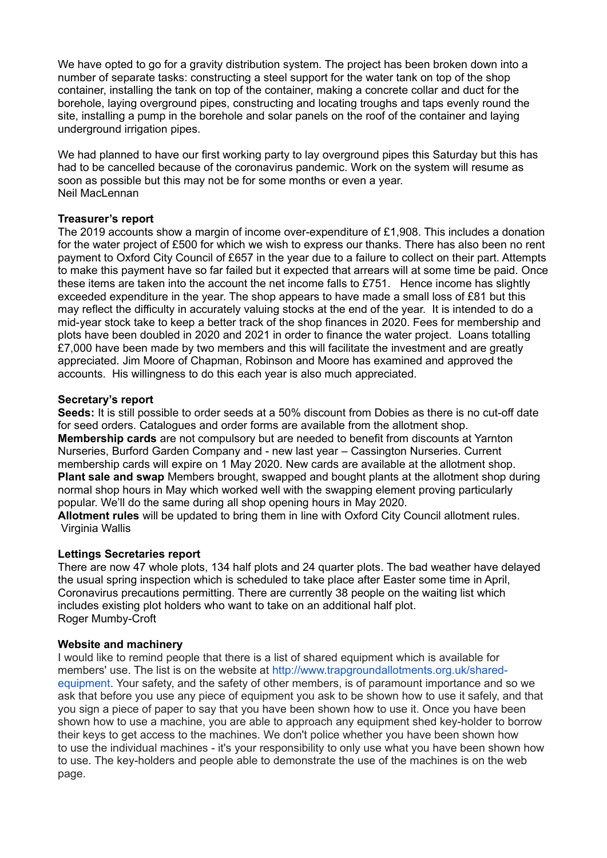We have opted to go for a gravity distribution system. The project has been broken down into a number of separate tasks: constructing a steel support for the water tank on top of the shop container, installing the tank on top of the container, making a concrete collar and duct for the borehole, laying overground pipes, constructing and locating troughs and taps evenly round the site, installing a pump in the borehole and solar panels on the roof of the container and laying underground irrigation pipes.

We had planned to have our first working party to lay overground pipes this Saturday but this has had to be cancelled because of the coronavirus pandemic. Work on the system will resume as soon as possible but this may not be for some months or even a year. Neil MacLennan

### **Treasurer's report**

The 2019 accounts show a margin of income over-expenditure of £1,908. This includes a donation for the water project of £500 for which we wish to express our thanks. There has also been no rent payment to Oxford City Council of £657 in the year due to a failure to collect on their part. Attempts to make this payment have so far failed but it expected that arrears will at some time be paid. Once these items are taken into the account the net income falls to £751. Hence income has slightly exceeded expenditure in the year. The shop appears to have made a small loss of £81 but this may reflect the difficulty in accurately valuing stocks at the end of the year. It is intended to do a mid-year stock take to keep a better track of the shop finances in 2020. Fees for membership and plots have been doubled in 2020 and 2021 in order to finance the water project. Loans totalling £7,000 have been made by two members and this will facilitate the investment and are greatly appreciated. Jim Moore of Chapman, Robinson and Moore has examined and approved the accounts. His willingness to do this each year is also much appreciated.

### **Secretary's report**

**Seeds:** It is still possible to order seeds at a 50% discount from Dobies as there is no cut-off date for seed orders. Catalogues and order forms are available from the allotment shop. **Membership cards** are not compulsory but are needed to benefit from discounts at Yarnton Nurseries, Burford Garden Company and - new last year – Cassington Nurseries. Current membership cards will expire on 1 May 2020. New cards are available at the allotment shop. **Plant sale and swap** Members brought, swapped and bought plants at the allotment shop during normal shop hours in May which worked well with the swapping element proving particularly popular. We'll do the same during all shop opening hours in May 2020. **Allotment rules** will be updated to bring them in line with Oxford City Council allotment rules.

Virginia Wallis

# **Lettings Secretaries report**

There are now 47 whole plots, 134 half plots and 24 quarter plots. The bad weather have delayed the usual spring inspection which is scheduled to take place after Easter some time in April, Coronavirus precautions permitting. There are currently 38 people on the waiting list which includes existing plot holders who want to take on an additional half plot. Roger Mumby-Croft

### **Website and machinery**

I would like to remind people that there is a list of shared equipment which is available for members' use. The list is on the website at [http://www.trapgroundallotments.org.uk/shared](http://www.trapgroundallotments.org.uk/shared-equipment)[equipment](http://www.trapgroundallotments.org.uk/shared-equipment). Your safety, and the safety of other members, is of paramount importance and so we ask that before you use any piece of equipment you ask to be shown how to use it safely, and that you sign a piece of paper to say that you have been shown how to use it. Once you have been shown how to use a machine, you are able to approach any equipment shed key-holder to borrow their keys to get access to the machines. We don't police whether you have been shown how to use the individual machines - it's your responsibility to only use what you have been shown how to use. The key-holders and people able to demonstrate the use of the machines is on the web page.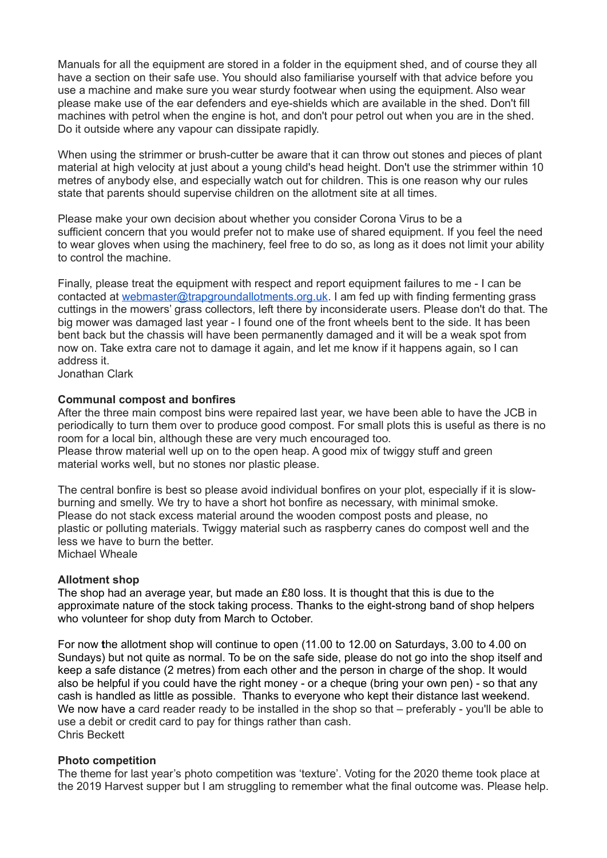Manuals for all the equipment are stored in a folder in the equipment shed, and of course they all have a section on their safe use. You should also familiarise yourself with that advice before you use a machine and make sure you wear sturdy footwear when using the equipment. Also wear please make use of the ear defenders and eye-shields which are available in the shed. Don't fill machines with petrol when the engine is hot, and don't pour petrol out when you are in the shed. Do it outside where any vapour can dissipate rapidly.

When using the strimmer or brush-cutter be aware that it can throw out stones and pieces of plant material at high velocity at just about a young child's head height. Don't use the strimmer within 10 metres of anybody else, and especially watch out for children. This is one reason why our rules state that parents should supervise children on the allotment site at all times.

Please make your own decision about whether you consider Corona Virus to be a sufficient concern that you would prefer not to make use of shared equipment. If you feel the need to wear gloves when using the machinery, feel free to do so, as long as it does not limit your ability to control the machine.

Finally, please treat the equipment with respect and report equipment failures to me - I can be contacted at [webmaster@trapgroundallotments.org.uk.](mailto:webmaster@trapgroundallotments.org.uk) I am fed up with finding fermenting grass cuttings in the mowers' grass collectors, left there by inconsiderate users. Please don't do that. The big mower was damaged last year - I found one of the front wheels bent to the side. It has been bent back but the chassis will have been permanently damaged and it will be a weak spot from now on. Take extra care not to damage it again, and let me know if it happens again, so I can address it.

Jonathan Clark

### **Communal compost and bonfires**

After the three main compost bins were repaired last year, we have been able to have the JCB in periodically to turn them over to produce good compost. For small plots this is useful as there is no room for a local bin, although these are very much encouraged too. Please throw material well up on to the open heap. A good mix of twiggy stuff and green

material works well, but no stones nor plastic please.

The central bonfire is best so please avoid individual bonfires on your plot, especially if it is slowburning and smelly. We try to have a short hot bonfire as necessary, with minimal smoke. Please do not stack excess material around the wooden compost posts and please, no plastic or polluting materials. Twiggy material such as raspberry canes do compost well and the less we have to burn the better. Michael Wheale

### **Allotment shop**

The shop had an average year, but made an £80 loss. It is thought that this is due to the approximate nature of the stock taking process. Thanks to the eight-strong band of shop helpers who volunteer for shop duty from March to October.

For now **t**he allotment shop will continue to open (11.00 to 12.00 on Saturdays, 3.00 to 4.00 on Sundays) but not quite as normal. To be on the safe side, please do not go into the shop itself and keep a safe distance (2 metres) from each other and the person in charge of the shop. It would also be helpful if you could have the right money - or a cheque (bring your own pen) - so that any cash is handled as little as possible. Thanks to everyone who kept their distance last weekend. We now have a card reader ready to be installed in the shop so that – preferably - you'll be able to use a debit or credit card to pay for things rather than cash. Chris Beckett

### **Photo competition**

The theme for last year's photo competition was 'texture'. Voting for the 2020 theme took place at the 2019 Harvest supper but I am struggling to remember what the final outcome was. Please help.